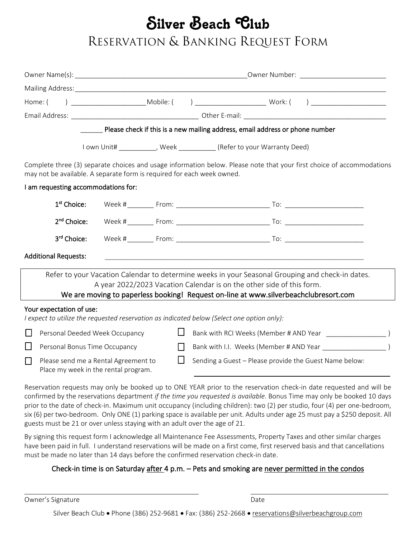# Silver Beach Club

# RESERVATION & BANKING REQUEST FORM

|                                                                                   |  |        | Please check if this is a new mailing address, email address or phone number                                                                                                                                                                  |  |
|-----------------------------------------------------------------------------------|--|--------|-----------------------------------------------------------------------------------------------------------------------------------------------------------------------------------------------------------------------------------------------|--|
|                                                                                   |  |        | I own Unit# ____________, Week ____________ (Refer to your Warranty Deed)                                                                                                                                                                     |  |
| may not be available. A separate form is required for each week owned.            |  |        | Complete three (3) separate choices and usage information below. Please note that your first choice of accommodations                                                                                                                         |  |
| I am requesting accommodations for:                                               |  |        |                                                                                                                                                                                                                                               |  |
| 1 <sup>st</sup> Choice:                                                           |  |        |                                                                                                                                                                                                                                               |  |
| 2 <sup>nd</sup> Choice:                                                           |  |        |                                                                                                                                                                                                                                               |  |
| 3rd Choice:                                                                       |  |        |                                                                                                                                                                                                                                               |  |
| <b>Additional Requests:</b>                                                       |  |        |                                                                                                                                                                                                                                               |  |
|                                                                                   |  |        | Refer to your Vacation Calendar to determine weeks in your Seasonal Grouping and check-in dates.                                                                                                                                              |  |
|                                                                                   |  |        | A year 2022/2023 Vacation Calendar is on the other side of this form.<br>We are moving to paperless booking! Request on-line at www.silverbeachclubresort.com                                                                                 |  |
| Your expectation of use:                                                          |  |        | I expect to utilize the requested reservation as indicated below (Select one option only):                                                                                                                                                    |  |
| Personal Deeded Week Occupancy<br>$\Box$                                          |  | Ц      |                                                                                                                                                                                                                                               |  |
| $\Box$<br>Personal Bonus Time Occupancy                                           |  | $\Box$ |                                                                                                                                                                                                                                               |  |
| Please send me a Rental Agreement to<br>П<br>Place my week in the rental program. |  | $\Box$ | Sending a Guest - Please provide the Guest Name below:                                                                                                                                                                                        |  |
|                                                                                   |  |        | Reservation requests may only be booked up to ONE YEAR prior to the reservation check-in date requested and will be<br>confirmed by the reservations department if the time you requested is available. Bonus Time may only be booked 10 days |  |

confirmed by the reservations department *if the time you requested is available*. Bonus Time may only be booked 10 days prior to the date of check-in. Maximum unit occupancy (including children): two (2) per studio, four (4) per one-bedroom, six (6) per two-bedroom. Only ONE (1) parking space is available per unit. Adults under age 25 must pay a \$250 deposit. All guests must be 21 or over unless staying with an adult over the age of 21.

By signing this request form I acknowledge all Maintenance Fee Assessments, Property Taxes and other similar charges have been paid in full. I understand reservations will be made on a first come, first reserved basis and that cancellations must be made no later than 14 days before the confirmed reservation check-in date.

### Check-in time is on Saturday after 4 p.m. - Pets and smoking are never permitted in the condos

Owner's Signature **Date** Date of Contract and Contract of Contract and Date Date

Silver Beach Club • Phone (386) 252-9681 • Fax: (386) 252-2668 • [reservations@silverbeachgroup.com](mailto:reservations@silverbeachgroup.com)